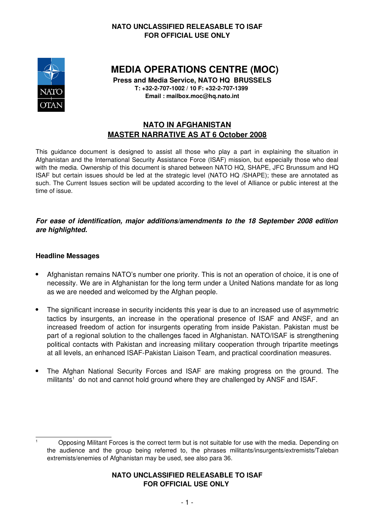

**MEDIA OPERATIONS CENTRE (MOC)**

**Press and Media Service, NATO HQ BRUSSELS T: +32-2-707-1002 / 10 F: +32-2-707-1399** 

**Email : mailbox.moc@hq.nato.int**

# **NATO IN AFGHANISTAN MASTER NARRATIVE AS AT 6 October 2008**

This guidance document is designed to assist all those who play a part in explaining the situation in Afghanistan and the International Security Assistance Force (ISAF) mission, but especially those who deal with the media. Ownership of this document is shared between NATO HQ, SHAPE, JFC Brunssum and HQ ISAF but certain issues should be led at the strategic level (NATO HQ /SHAPE); these are annotated as such*.* The Current Issues section will be updated according to the level of Alliance or public interest at the time of issue.

#### *For ease of identification, major additions/amendments to the 18 September 2008 edition are highlighted.*

#### **Headline Messages**

- Afghanistan remains NATO's number one priority. This is not an operation of choice, it is one of necessity. We are in Afghanistan for the long term under a United Nations mandate for as long as we are needed and welcomed by the Afghan people.
- The significant increase in security incidents this year is due to an increased use of asymmetric tactics by insurgents, an increase in the operational presence of ISAF and ANSF, and an increased freedom of action for insurgents operating from inside Pakistan. Pakistan must be part of a regional solution to the challenges faced in Afghanistan. NATO/ISAF is strengthening political contacts with Pakistan and increasing military cooperation through tripartite meetings at all levels, an enhanced ISAF-Pakistan Liaison Team, and practical coordination measures.
- The Afghan National Security Forces and ISAF are making progress on the ground. The militants<sup>[1](#page-0-0)</sup> do not and cannot hold ground where they are challenged by ANSF and ISAF.

<span id="page-0-0"></span><sup>1</sup> Opposing Militant Forces is the correct term but is not suitable for use with the media. Depending on the audience and the group being referred to, the phrases militants/insurgents/extremists/Taleban extremists/enemies of Afghanistan may be used, see also para 36.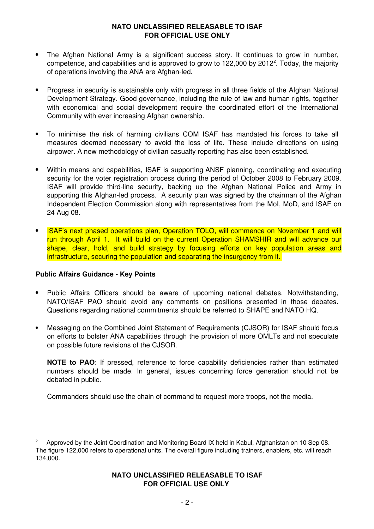- The Afghan National Army is a significant success story. It continues to grow in number, competence, and capabilities and is approved to grow to 1[2](#page-1-0)2,000 by 2012<sup>2</sup>. Today, the majority of operations involving the ANA are Afghan-led.
- Progress in security is sustainable only with progress in all three fields of the Afghan National Development Strategy. Good governance, including the rule of law and human rights, together with economical and social development require the coordinated effort of the International Community with ever increasing Afghan ownership.
- To minimise the risk of harming civilians COM ISAF has mandated his forces to take all measures deemed necessary to avoid the loss of life. These include directions on using airpower. A new methodology of civilian casualty reporting has also been established.
- Within means and capabilities, ISAF is supporting ANSF planning, coordinating and executing security for the voter registration process during the period of October 2008 to February 2009. ISAF will provide third-line security, backing up the Afghan National Police and Army in supporting this Afghan-led process. A security plan was signed by the chairman of the Afghan Independent Election Commission along with representatives from the MoI, MoD, and ISAF on 24 Aug 08.
- ISAF's next phased operations plan, Operation TOLO, will commence on November 1 and will run through April 1. It will build on the current Operation SHAMSHIR and will advance our shape, clear, hold, and build strategy by focusing efforts on key population areas and infrastructure, securing the population and separating the insurgency from it.

#### **Public Affairs Guidance - Key Points**

- Public Affairs Officers should be aware of upcoming national debates. Notwithstanding, NATO/ISAF PAO should avoid any comments on positions presented in those debates. Questions regarding national commitments should be referred to SHAPE and NATO HQ.
- Messaging on the Combined Joint Statement of Requirements (CJSOR) for ISAF should focus on efforts to bolster ANA capabilities through the provision of more OMLTs and not speculate on possible future revisions of the CJSOR.

**NOTE to PAO**: If pressed, reference to force capability deficiencies rather than estimated numbers should be made. In general, issues concerning force generation should not be debated in public.

Commanders should use the chain of command to request more troops, not the media.

<span id="page-1-0"></span><sup>2</sup> Approved by the Joint Coordination and Monitoring Board IX held in Kabul, Afghanistan on 10 Sep 08. The figure 122,000 refers to operational units. The overall figure including trainers, enablers, etc. will reach 134,000.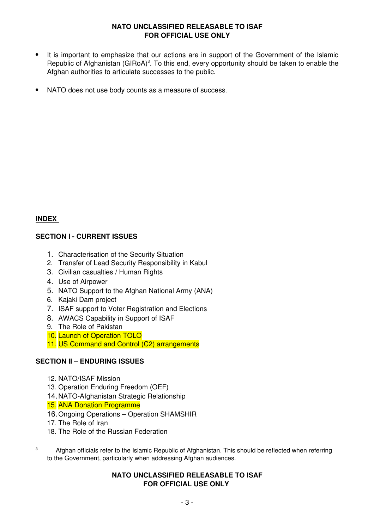- It is important to emphasize that our actions are in support of the Government of the Islamic Republic of Afghanistan  $(GIRoA)^3$  $(GIRoA)^3$ . To this end, every opportunity should be taken to enable the Afghan authorities to articulate successes to the public.
- NATO does not use body counts as a measure of success.

#### **INDEX**

#### **SECTION I - CURRENT ISSUES**

- 1. Characterisation of the Security Situation
- 2. Transfer of Lead Security Responsibility in Kabul
- 3. Civilian casualties / Human Rights
- 4. Use of Airpower
- 5. NATO Support to the Afghan National Army (ANA)
- 6. Kajaki Dam project
- 7. ISAF support to Voter Registration and Elections
- 8. AWACS Capability in Support of ISAF
- 9. The Role of Pakistan
- 10. Launch of Operation TOLO
- 11. US Command and Control (C2) arrangements

### **SECTION II – ENDURING ISSUES**

- 12. NATO/ISAF Mission
- 13. Operation Enduring Freedom (OEF)
- 14.NATO-Afghanistan Strategic Relationship
- 15. ANA Donation Programme
- 16.Ongoing Operations Operation SHAMSHIR
- 17. The Role of Iran
- 18. The Role of the Russian Federation

<span id="page-2-0"></span> $\overline{3}$  Afghan officials refer to the Islamic Republic of Afghanistan. This should be reflected when referring to the Government, particularly when addressing Afghan audiences.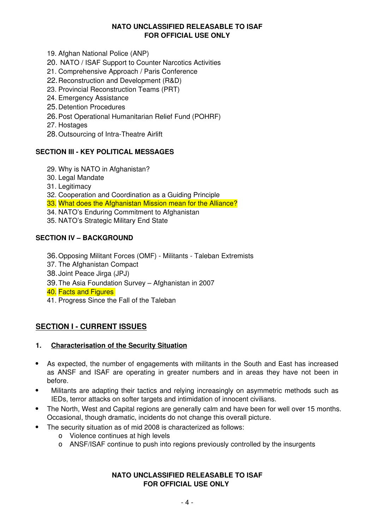- 19. Afghan National Police (ANP)
- 20. NATO / ISAF Support to Counter Narcotics Activities
- 21. Comprehensive Approach / Paris Conference
- 22.Reconstruction and Development (R&D)
- 23. Provincial Reconstruction Teams (PRT)
- 24. Emergency Assistance
- 25.Detention Procedures
- 26.Post Operational Humanitarian Relief Fund (POHRF)
- 27. Hostages
- 28.Outsourcing of Intra-Theatre Airlift

### **SECTION III - KEY POLITICAL MESSAGES**

- 29. Why is NATO in Afghanistan?
- 30. Legal Mandate
- 31. Legitimacy
- 32. Cooperation and Coordination as a Guiding Principle
- 33. What does the Afghanistan Mission mean for the Alliance?
- 34. NATO's Enduring Commitment to Afghanistan
- 35. NATO's Strategic Military End State

### **SECTION IV – BACKGROUND**

- 36.Opposing Militant Forces (OMF) Militants Taleban Extremists
- 37. The Afghanistan Compact
- 38.Joint Peace Jirga (JPJ)
- 39.The Asia Foundation Survey Afghanistan in 2007
- 40. Facts and Figures
- 41. Progress Since the Fall of the Taleban

# **SECTION I - CURRENT ISSUES**

### **1. Characterisation of the Security Situation**

- As expected, the number of engagements with militants in the South and East has increased as ANSF and ISAF are operating in greater numbers and in areas they have not been in before.
- Militants are adapting their tactics and relying increasingly on asymmetric methods such as IEDs, terror attacks on softer targets and intimidation of innocent civilians.
- The North, West and Capital regions are generally calm and have been for well over 15 months. Occasional, though dramatic, incidents do not change this overall picture.
- The security situation as of mid 2008 is characterized as follows:
	- Violence continues at high levels
	- ANSF/ISAF continue to push into regions previously controlled by the insurgents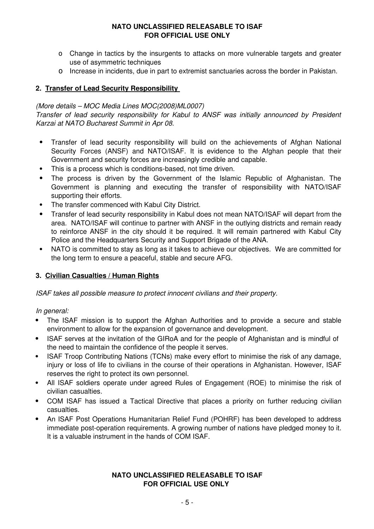- Change in tactics by the insurgents to attacks on more vulnerable targets and greater use of asymmetric techniques
- Increase in incidents, due in part to extremist sanctuaries across the border in Pakistan.

### **2. Transfer of Lead Security Responsibility**

#### *(More details – MOC Media Lines MOC(2008)ML0007)*

*Transfer of lead security responsibility for Kabul to ANSF was initially announced by President Karzai at NATO Bucharest Summit in Apr 08.*

- Transfer of lead security responsibility will build on the achievements of Afghan National Security Forces (ANSF) and NATO/ISAF. It is evidence to the Afghan people that their Government and security forces are increasingly credible and capable.
- This is a process which is conditions-based, not time driven.
- The process is driven by the Government of the Islamic Republic of Afghanistan. The Government is planning and executing the transfer of responsibility with NATO/ISAF supporting their efforts.
- The transfer commenced with Kabul City District.
- Transfer of lead security responsibility in Kabul does not mean NATO/ISAF will depart from the area. NATO/ISAF will continue to partner with ANSF in the outlying districts and remain ready to reinforce ANSF in the city should it be required. It will remain partnered with Kabul City Police and the Headquarters Security and Support Brigade of the ANA.
- NATO is committed to stay as long as it takes to achieve our objectives. We are committed for the long term to ensure a peaceful, stable and secure AFG.

### **3. Civilian Casualties / Human Rights**

*ISAF takes all possible measure to protect innocent civilians and their property.*

*In general:* 

- The ISAF mission is to support the Afghan Authorities and to provide a secure and stable environment to allow for the expansion of governance and development.
- ISAF serves at the invitation of the GIRoA and for the people of Afghanistan and is mindful of the need to maintain the confidence of the people it serves.
- ISAF Troop Contributing Nations (TCNs) make every effort to minimise the risk of any damage, injury or loss of life to civilians in the course of their operations in Afghanistan. However, ISAF reserves the right to protect its own personnel.
- All ISAF soldiers operate under agreed Rules of Engagement (ROE) to minimise the risk of civilian casualties.
- COM ISAF has issued a Tactical Directive that places a priority on further reducing civilian casualties.
- An ISAF Post Operations Humanitarian Relief Fund (POHRF) has been developed to address immediate post-operation requirements. A growing number of nations have pledged money to it. It is a valuable instrument in the hands of COM ISAF.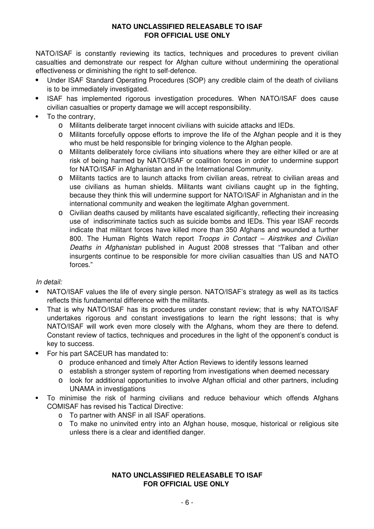NATO/ISAF is constantly reviewing its tactics, techniques and procedures to prevent civilian casualties and demonstrate our respect for Afghan culture without undermining the operational effectiveness or diminishing the right to self-defence.

- Under ISAF Standard Operating Procedures (SOP) any credible claim of the death of civilians is to be immediately investigated.
- ISAF has implemented rigorous investigation procedures. When NATO/ISAF does cause civilian casualties or property damage we will accept responsibility.
- To the contrary.
	- Militants deliberate target innocent civilians with suicide attacks and IEDs.
	- Militants forcefully oppose efforts to improve the life of the Afghan people and it is they who must be held responsible for bringing violence to the Afghan people.
	- Militants deliberately force civilians into situations where they are either killed or are at risk of being harmed by NATO/ISAF or coalition forces in order to undermine support for NATO/ISAF in Afghanistan and in the International Community.
	- Militants tactics are to launch attacks from civilian areas, retreat to civilian areas and use civilians as human shields. Militants want civilians caught up in the fighting, because they think this will undermine support for NATO/ISAF in Afghanistan and in the international community and weaken the legitimate Afghan government.
	- Civilian deaths caused by militants have escalated sigificantly, reflecting their increasing use of indiscriminate tactics such as suicide bombs and IEDs. This year ISAF records indicate that militant forces have killed more than 350 Afghans and wounded a further 800. The Human Rights Watch report *Troops in Contact – Airstrikes and Civilian Deaths in Afghanistan* published in August 2008 stresses that "Taliban and other insurgents continue to be responsible for more civilian casualties than US and NATO forces."

### *In detail:*

- NATO/ISAF values the life of every single person. NATO/ISAF's strategy as well as its tactics reflects this fundamental difference with the militants.
- That is why NATO/ISAF has its procedures under constant review; that is why NATO/ISAF undertakes rigorous and constant investigations to learn the right lessons; that is why NATO/ISAF will work even more closely with the Afghans, whom they are there to defend. Constant review of tactics, techniques and procedures in the light of the opponent's conduct is key to success.
- For his part SACEUR has mandated to:
	- produce enhanced and timely After Action Reviews to identify lessons learned
	- establish a stronger system of reporting from investigations when deemed necessary
	- look for additional opportunities to involve Afghan official and other partners, including UNAMA in investigations
- To minimise the risk of harming civilians and reduce behaviour which offends Afghans COMISAF has revised his Tactical Directive:
	- To partner with ANSF in all ISAF operations.
	- To make no uninvited entry into an Afghan house, mosque, historical or religious site unless there is a clear and identified danger.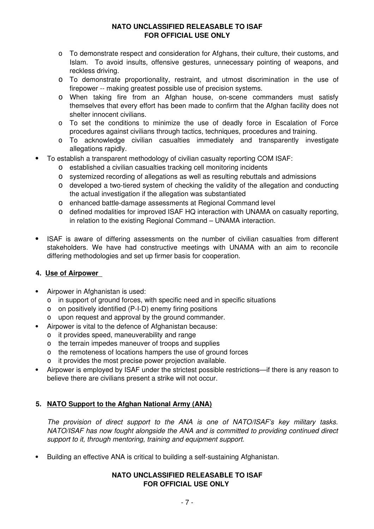- To demonstrate respect and consideration for Afghans, their culture, their customs, and Islam. To avoid insults, offensive gestures, unnecessary pointing of weapons, and reckless driving.
- To demonstrate proportionality, restraint, and utmost discrimination in the use of firepower -- making greatest possible use of precision systems.
- When taking fire from an Afghan house, on-scene commanders must satisfy themselves that every effort has been made to confirm that the Afghan facility does not shelter innocent civilians.
- To set the conditions to minimize the use of deadly force in Escalation of Force procedures against civilians through tactics, techniques, procedures and training.
- To acknowledge civilian casualties immediately and transparently investigate allegations rapidly.
- To establish a transparent methodology of civilian casualty reporting COM ISAF:
	- established a civilian casualties tracking cell monitoring incidents
	- systemized recording of allegations as well as resulting rebuttals and admissions
	- developed a two-tiered system of checking the validity of the allegation and conducting the actual investigation if the allegation was substantiated
	- enhanced battle-damage assessments at Regional Command level
	- defined modalities for improved ISAF HQ interaction with UNAMA on casualty reporting, in relation to the existing Regional Command – UNAMA interaction.
- ISAF is aware of differing assessments on the number of civilian casualties from different stakeholders. We have had constructive meetings with UNAMA with an aim to reconcile differing methodologies and set up firmer basis for cooperation.

# **4. Use of Airpower**

- Airpower in Afghanistan is used:
	- in support of ground forces, with specific need and in specific situations
	- on positively identified (P-I-D) enemy firing positions
	- upon request and approval by the ground commander.
- Airpower is vital to the defence of Afghanistan because:
	- it provides speed, maneuverability and range
	- the terrain impedes maneuver of troops and supplies
	- o the remoteness of locations hampers the use of ground forces
	- o it provides the most precise power projection available.
- Airpower is employed by ISAF under the strictest possible restrictions—if there is any reason to believe there are civilians present a strike will not occur.

# **5. NATO Support to the Afghan National Army (ANA)**

*The provision of direct support to the ANA is one of NATO/ISAF's key military tasks. NATO/ISAF has now fought alongside the ANA and is committed to providing continued direct support to it, through mentoring, training and equipment support.*

Building an effective ANA is critical to building a self-sustaining Afghanistan.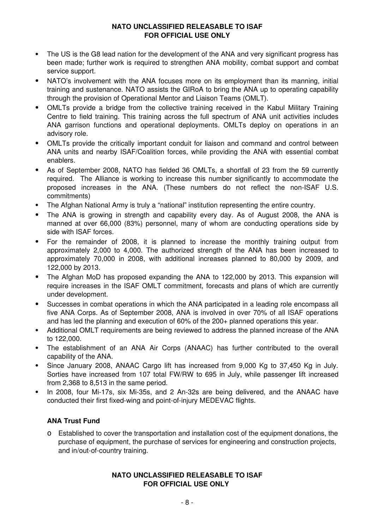- The US is the G8 lead nation for the development of the ANA and very significant progress has been made; further work is required to strengthen ANA mobility, combat support and combat service support.
- NATO's involvement with the ANA focuses more on its employment than its manning, initial training and sustenance. NATO assists the GIRoA to bring the ANA up to operating capability through the provision of Operational Mentor and Liaison Teams (OMLT).
- OMLTs provide a bridge from the collective training received in the Kabul Military Training Centre to field training. This training across the full spectrum of ANA unit activities includes ANA garrison functions and operational deployments. OMLTs deploy on operations in an advisory role.
- OMLTs provide the critically important conduit for liaison and command and control between ANA units and nearby ISAF/Coalition forces, while providing the ANA with essential combat enablers.
- As of September 2008, NATO has fielded 36 OMLTs, a shortfall of 23 from the 59 currently required. The Alliance is working to increase this number significantly to accommodate the proposed increases in the ANA. (These numbers do not reflect the non-ISAF U.S. commitments)
- The Afghan National Army is truly a "national" institution representing the entire country.
- The ANA is growing in strength and capability every day. As of August 2008, the ANA is manned at over 66,000 (83%) personnel, many of whom are conducting operations side by side with ISAF forces.
- For the remainder of 2008, it is planned to increase the monthly training output from approximately 2,000 to 4,000. The authorized strength of the ANA has been increased to approximately 70,000 in 2008, with additional increases planned to 80,000 by 2009, and 122,000 by 2013.
- The Afghan MoD has proposed expanding the ANA to 122,000 by 2013. This expansion will require increases in the ISAF OMLT commitment, forecasts and plans of which are currently under development.
- Successes in combat operations in which the ANA participated in a leading role encompass all five ANA Corps. As of September 2008, ANA is involved in over 70% of all ISAF operations and has led the planning and execution of 60% of the 200+ planned operations this year.
- Additional OMLT requirements are being reviewed to address the planned increase of the ANA to 122,000.
- The establishment of an ANA Air Corps (ANAAC) has further contributed to the overall capability of the ANA.
- Since January 2008, ANAAC Cargo lift has increased from 9,000 Kg to 37,450 Kg in July. Sorties have increased from 107 total FW/RW to 695 in July, while passenger lift increased from 2,368 to 8,513 in the same period.
- In 2008, four Mi-17s, six Mi-35s, and 2 An-32s are being delivered, and the ANAAC have conducted their first fixed-wing and point-of-injury MEDEVAC flights.

### **ANA Trust Fund**

 Established to cover the transportation and installation cost of the equipment donations, the purchase of equipment, the purchase of services for engineering and construction projects, and in/out-of-country training.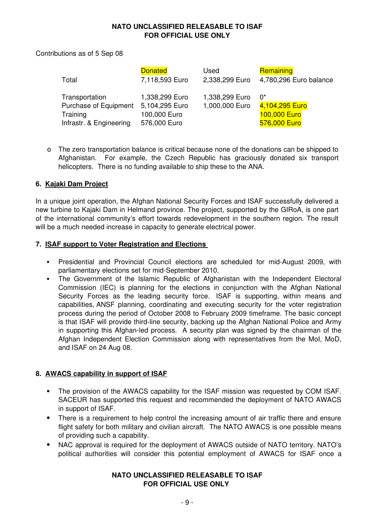Contributions as of 5 Sep 08

| Total                   | <b>Donated</b> | Used           | Remaining              |
|-------------------------|----------------|----------------|------------------------|
|                         | 7,118,593 Euro | 2,338,299 Euro | 4,780,296 Euro balance |
| Transportation          | 1,338,299 Euro | 1,338,299 Euro | U.                     |
| Purchase of Equipment   | 5,104,295 Euro | 1,000,000 Euro | 4,104,295 Euro         |
| Training                | 100,000 Euro   |                | 100,000 Euro           |
| Infrastr. & Engineering | 576,000 Euro   |                | 576,000 Euro           |

 The zero transportation balance is critical because none of the donations can be shipped to Afghanistan. For example, the Czech Republic has graciously donated six transport helicopters. There is no funding available to ship these to the ANA.

#### **6. Kajaki Dam Project**

In a unique joint operation, the Afghan National Security Forces and ISAF successfully delivered a new turbine to Kajaki Dam in Helmand province. The project, supported by the GIRoA, is one part of the international community's effort towards redevelopment in the southern region. The result will be a much needed increase in capacity to generate electrical power.

#### **7. ISAF support to Voter Registration and Elections**

- Presidential and Provincial Council elections are scheduled for mid-August 2009, with parliamentary elections set for mid-September 2010.
- The Government of the Islamic Republic of Afghanistan with the Independent Electoral Commission (IEC) is planning for the elections in conjunction with the Afghan National Security Forces as the leading security force. ISAF is supporting, within means and capabilities, ANSF planning, coordinating and executing security for the voter registration process during the period of October 2008 to February 2009 timeframe. The basic concept is that ISAF will provide third-line security, backing up the Afghan National Police and Army in supporting this Afghan-led process. A security plan was signed by the chairman of the Afghan Independent Election Commission along with representatives from the MoI, MoD, and ISAF on 24 Aug 08.

### **8. AWACS capability in support of ISAF**

- The provision of the AWACS capability for the ISAF mission was requested by COM ISAF. SACEUR has supported this request and recommended the deployment of NATO AWACS in support of ISAF.
- There is a requirement to help control the increasing amount of air traffic there and ensure flight safety for both military and civilian aircraft. The NATO AWACS is one possible means of providing such a capability.
- NAC approval is required for the deployment of AWACS outside of NATO territory. NATO's political authorities will consider this potential employment of AWACS for ISAF once a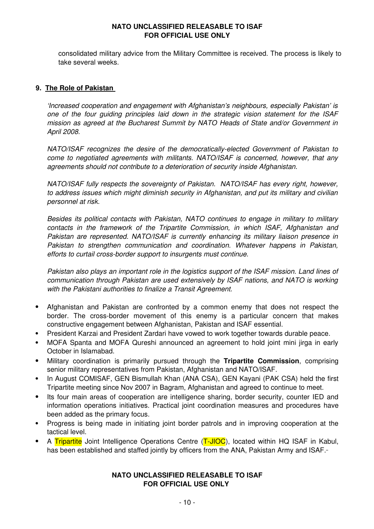consolidated military advice from the Military Committee is received. The process is likely to take several weeks.

#### **9. The Role of Pakistan**

*'Increased cooperation and engagement with Afghanistan's neighbours, especially Pakistan' is one of the four guiding principles laid down in the strategic vision statement for the ISAF mission as agreed at the Bucharest Summit by NATO Heads of State and/or Government in April 2008.*

*NATO/ISAF recognizes the desire of the democratically-elected Government of Pakistan to come to negotiated agreements with militants. NATO/ISAF is concerned, however, that any agreements should not contribute to a deterioration of security inside Afghanistan.*

*NATO/ISAF fully respects the sovereignty of Pakistan. NATO/ISAF has every right, however, to address issues which might diminish security in Afghanistan, and put its military and civilian personnel at risk.*

*Besides its political contacts with Pakistan, NATO continues to engage in military to military contacts in the framework of the Tripartite Commission, in which ISAF, Afghanistan and Pakistan are represented. NATO/ISAF is currently enhancing its military liaison presence in Pakistan to strengthen communication and coordination. Whatever happens in Pakistan, efforts to curtail cross-border support to insurgents must continue.*

*Pakistan also plays an important role in the logistics support of the ISAF mission. Land lines of communication through Pakistan are used extensively by ISAF nations, and NATO is working with the Pakistani authorities to finalize a Transit Agreement.*

- Afghanistan and Pakistan are confronted by a common enemy that does not respect the border. The cross-border movement of this enemy is a particular concern that makes constructive engagement between Afghanistan, Pakistan and ISAF essential.
- President Karzai and President Zardari have vowed to work together towards durable peace.
- MOFA Spanta and MOFA Qureshi announced an agreement to hold joint mini jirga in early October in Islamabad.
- Military coordination is primarily pursued through the **Tripartite Commission**, comprising senior military representatives from Pakistan, Afghanistan and NATO/ISAF.
- In August COMISAF, GEN Bismullah Khan (ANA CSA), GEN Kayani (PAK CSA) held the first Tripartite meeting since Nov 2007 in Bagram, Afghanistan and agreed to continue to meet.
- Its four main areas of cooperation are intelligence sharing, border security, counter IED and information operations initiatives. Practical joint coordination measures and procedures have been added as the primary focus.
- Progress is being made in initiating joint border patrols and in improving cooperation at the tactical level.
- A Tripartite Joint Intelligence Operations Centre (T-JIOC), located within HQ ISAF in Kabul, has been established and staffed jointly by officers from the ANA, Pakistan Army and ISAF.-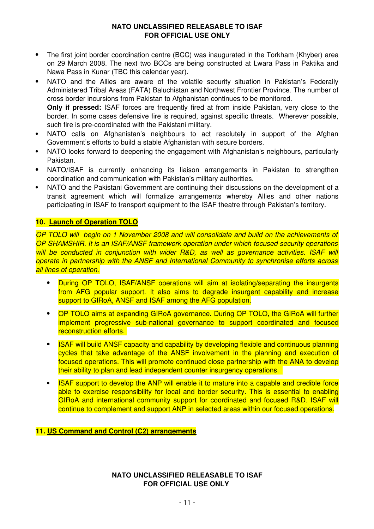- The first joint border coordination centre (BCC) was inaugurated in the Torkham (Khyber) area on 29 March 2008. The next two BCCs are being constructed at Lwara Pass in Paktika and Nawa Pass in Kunar (TBC this calendar year).
- NATO and the Allies are aware of the volatile security situation in Pakistan's Federally Administered Tribal Areas (FATA) Baluchistan and Northwest Frontier Province. The number of cross border incursions from Pakistan to Afghanistan continues to be monitored. **Only if pressed:** ISAF forces are frequently fired at from inside Pakistan, very close to the border. In some cases defensive fire is required, against specific threats. Wherever possible,
- such fire is pre-coordinated with the Pakistani military. NATO calls on Afghanistan's neighbours to act resolutely in support of the Afghan Government's efforts to build a stable Afghanistan with secure borders.
- NATO looks forward to deepening the engagement with Afghanistan's neighbours, particularly Pakistan.
- NATO/ISAF is currently enhancing its liaison arrangements in Pakistan to strengthen coordination and communication with Pakistan's military authorities.
- NATO and the Pakistani Government are continuing their discussions on the development of a transit agreement which will formalize arrangements whereby Allies and other nations participating in ISAF to transport equipment to the ISAF theatre through Pakistan's territory.

# **10. Launch of Operation TOLO**

*OP TOLO will begin on 1 November 2008 and will consolidate and build on the achievements of OP SHAMSHIR. It is an ISAF/ANSF framework operation under which focused security operations will be conducted in conjunction with wider R&D, as well as governance activities. ISAF will operate in partnership with the ANSF and International Community to synchronise efforts across all lines of operation.*

- During OP TOLO, ISAF/ANSF operations will aim at isolating/separating the insurgents from AFG popular support. It also aims to degrade insurgent capability and increase support to GIRoA, ANSF and ISAF among the AFG population.
- OP TOLO aims at expanding GIRoA governance. During OP TOLO, the GIRoA will further implement progressive sub-national governance to support coordinated and focused reconstruction efforts.
- ISAF will build ANSF capacity and capability by developing flexible and continuous planning cycles that take advantage of the ANSF involvement in the planning and execution of focused operations. This will promote continued close partnership with the ANA to develop their ability to plan and lead independent counter insurgency operations.
- ISAF support to develop the ANP will enable it to mature into a capable and credible force able to exercise responsibility for local and border security. This is essential to enabling GIRoA and international community support for coordinated and focused R&D. ISAF will continue to complement and support ANP in selected areas within our focused operations.

### **11. US Command and Control (C2) arrangements**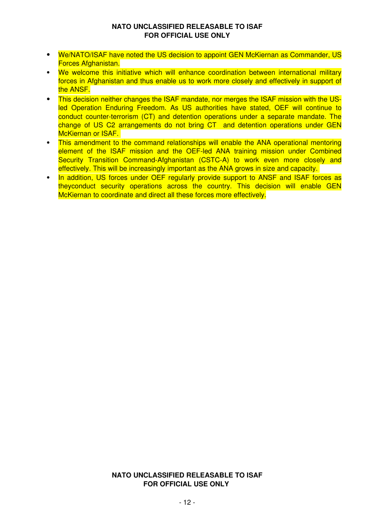- We/NATO/ISAF have noted the US decision to appoint GEN McKiernan as Commander, US Forces Afghanistan.
- We welcome this initiative which will enhance coordination between international military forces in Afghanistan and thus enable us to work more closely and effectively in support of the ANSF.
- This decision neither changes the ISAF mandate, nor merges the ISAF mission with the USled Operation Enduring Freedom. As US authorities have stated, OEF will continue to conduct counter-terrorism (CT) and detention operations under a separate mandate. The change of US C2 arrangements do not bring CT and detention operations under GEN McKiernan or ISAF.
- This amendment to the command relationships will enable the ANA operational mentoring element of the ISAF mission and the OEF-led ANA training mission under Combined Security Transition Command-Afghanistan (CSTC-A) to work even more closely and effectively. This will be increasingly important as the ANA grows in size and capacity.
- In addition, US forces under OEF regularly provide support to ANSF and ISAF forces as theyconduct security operations across the country. This decision will enable GEN McKiernan to coordinate and direct all these forces more effectively.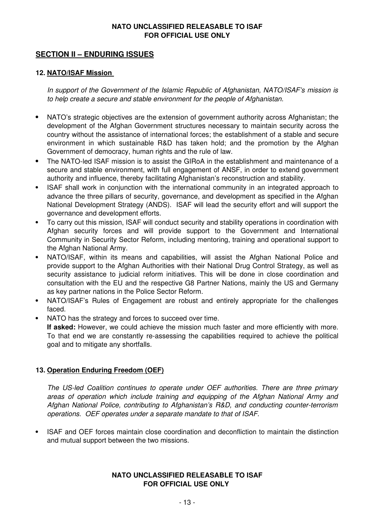# **SECTION II – ENDURING ISSUES**

#### **12. NATO/ISAF Mission**

*In support of the Government of the Islamic Republic of Afghanistan, NATO/ISAF's mission is to help create a secure and stable environment for the people of Afghanistan.* 

- NATO's strategic objectives are the extension of government authority across Afghanistan; the development of the Afghan Government structures necessary to maintain security across the country without the assistance of international forces; the establishment of a stable and secure environment in which sustainable R&D has taken hold; and the promotion by the Afghan Government of democracy, human rights and the rule of law.
- The NATO-led ISAF mission is to assist the GIRoA in the establishment and maintenance of a secure and stable environment, with full engagement of ANSF, in order to extend government authority and influence, thereby facilitating Afghanistan's reconstruction and stability.
- ISAF shall work in conjunction with the international community in an integrated approach to advance the three pillars of security, governance, and development as specified in the Afghan National Development Strategy (ANDS). ISAF will lead the security effort and will support the governance and development efforts.
- To carry out this mission, ISAF will conduct security and stability operations in coordination with Afghan security forces and will provide support to the Government and International Community in Security Sector Reform, including mentoring, training and operational support to the Afghan National Army.
- NATO/ISAF, within its means and capabilities, will assist the Afghan National Police and provide support to the Afghan Authorities with their National Drug Control Strategy, as well as security assistance to judicial reform initiatives. This will be done in close coordination and consultation with the EU and the respective G8 Partner Nations, mainly the US and Germany as key partner nations in the Police Sector Reform.
- NATO/ISAF's Rules of Engagement are robust and entirely appropriate for the challenges faced.
- NATO has the strategy and forces to succeed over time.

**If asked:** However, we could achieve the mission much faster and more efficiently with more. To that end we are constantly re-assessing the capabilities required to achieve the political goal and to mitigate any shortfalls.

### **13. Operation Enduring Freedom (OEF)**

*The US-led Coalition continues to operate under OEF authorities. There are three primary areas of operation which include training and equipping of the Afghan National Army and Afghan National Police, contributing to Afghanistan's R&D, and conducting counter-terrorism operations. OEF operates under a separate mandate to that of ISAF.*

 ISAF and OEF forces maintain close coordination and deconfliction to maintain the distinction and mutual support between the two missions.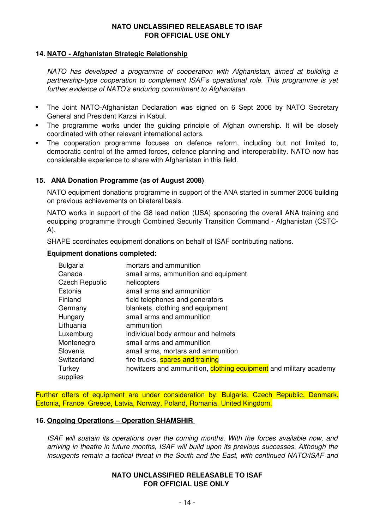#### **14. NATO - Afghanistan Strategic Relationship**

*NATO has developed a programme of cooperation with Afghanistan, aimed at building a partnership-type cooperation to complement ISAF's operational role. This programme is yet further evidence of NATO's enduring commitment to Afghanistan.*

- The Joint NATO-Afghanistan Declaration was signed on 6 Sept 2006 by NATO Secretary General and President Karzai in Kabul.
- The programme works under the guiding principle of Afghan ownership. It will be closely coordinated with other relevant international actors.
- The cooperation programme focuses on defence reform, including but not limited to, democratic control of the armed forces, defence planning and interoperability. NATO now has considerable experience to share with Afghanistan in this field.

### **15. ANA Donation Programme (as of August 2008)**

NATO equipment donations programme in support of the ANA started in summer 2006 building on previous achievements on bilateral basis.

NATO works in support of the G8 lead nation (USA) sponsoring the overall ANA training and equipping programme through Combined Security Transition Command - Afghanistan (CSTC-A).

SHAPE coordinates equipment donations on behalf of ISAF contributing nations.

#### **Equipment donations completed:**

| <b>Bulgaria</b>       | mortars and ammunition                                            |
|-----------------------|-------------------------------------------------------------------|
| Canada                | small arms, ammunition and equipment                              |
| <b>Czech Republic</b> | helicopters                                                       |
| Estonia               | small arms and ammunition                                         |
| Finland               | field telephones and generators                                   |
| Germany               | blankets, clothing and equipment                                  |
| Hungary               | small arms and ammunition                                         |
| Lithuania             | ammunition                                                        |
| Luxemburg             | individual body armour and helmets                                |
| Montenegro            | small arms and ammunition                                         |
| Slovenia              | small arms, mortars and ammunition                                |
| Switzerland           | fire trucks, spares and training                                  |
| Turkey<br>supplies    | howitzers and ammunition, clothing equipment and military academy |

Further offers of equipment are under consideration by: Bulgaria, Czech Republic, Denmark, Estonia, France, Greece, Latvia, Norway, Poland, Romania, United Kingdom.

#### **16. Ongoing Operations – Operation SHAMSHIR**

*ISAF will sustain its operations over the coming months. With the forces available now, and arriving in theatre in future months, ISAF will build upon its previous successes. Although the insurgents remain a tactical threat in the South and the East, with continued NATO/ISAF and*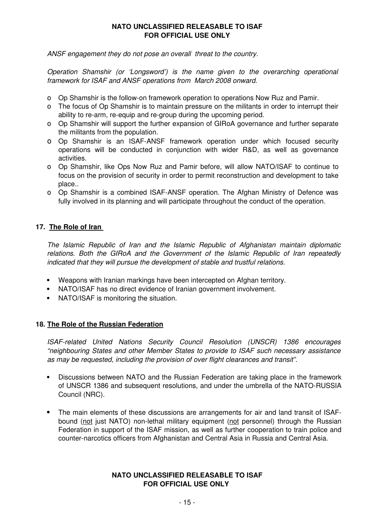*ANSF engagement they do not pose an overall threat to the country.* 

*Operation Shamshir (or 'Longsword') is the name given to the overarching operational framework for ISAF and ANSF operations from March 2008 onward.* 

- Op Shamshir is the follow-on framework operation to operations Now Ruz and Pamir.
- The focus of Op Shamshir is to maintain pressure on the militants in order to interrupt their ability to re-arm, re-equip and re-group during the upcoming period.
- Op Shamshir will support the further expansion of GIRoA governance and further separate the militants from the population.
- Op Shamshir is an ISAF-ANSF framework operation under which focused security operations will be conducted in conjunction with wider R&D, as well as governance activities.
- Op Shamshir, like Ops Now Ruz and Pamir before, will allow NATO/ISAF to continue to focus on the provision of security in order to permit reconstruction and development to take place..
- Op Shamshir is a combined ISAF-ANSF operation. The Afghan Ministry of Defence was fully involved in its planning and will participate throughout the conduct of the operation.

# **17. The Role of Iran**

*The Islamic Republic of Iran and the Islamic Republic of Afghanistan maintain diplomatic relations. Both the GIRoA and the Government of the Islamic Republic of Iran repeatedly indicated that they will pursue the development of stable and trustful relations.*

- Weapons with Iranian markings have been intercepted on Afghan territory.
- NATO/ISAF has no direct evidence of Iranian government involvement.
- NATO/ISAF is monitoring the situation.

### **18. The Role of the Russian Federation**

*ISAF-related United Nations Security Council Resolution (UNSCR) 1386 encourages "neighbouring States and other Member States to provide to ISAF such necessary assistance as may be requested, including the provision of over flight clearances and transit".*

- Discussions between NATO and the Russian Federation are taking place in the framework of UNSCR 1386 and subsequent resolutions, and under the umbrella of the NATO-RUSSIA Council (NRC).
- The main elements of these discussions are arrangements for air and land transit of ISAFbound (not just NATO) non-lethal military equipment (not personnel) through the Russian Federation in support of the ISAF mission, as well as further cooperation to train police and counter-narcotics officers from Afghanistan and Central Asia in Russia and Central Asia.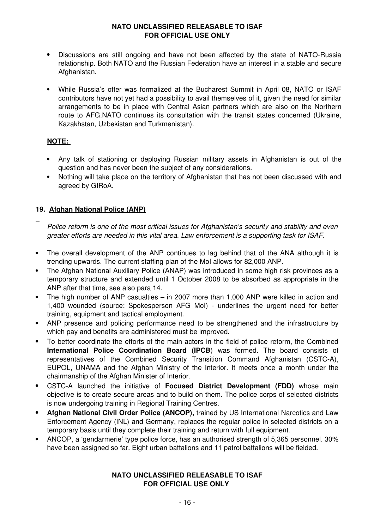- Discussions are still ongoing and have not been affected by the state of NATO-Russia relationship. Both NATO and the Russian Federation have an interest in a stable and secure Afghanistan.
- While Russia's offer was formalized at the Bucharest Summit in April 08, NATO or ISAF contributors have not yet had a possibility to avail themselves of it, given the need for similar arrangements to be in place with Central Asian partners which are also on the Northern route to AFG.NATO continues its consultation with the transit states concerned (Ukraine, Kazakhstan, Uzbekistan and Turkmenistan).

# **NOTE:**

- Any talk of stationing or deploying Russian military assets in Afghanistan is out of the question and has never been the subject of any considerations.
- Nothing will take place on the territory of Afghanistan that has not been discussed with and agreed by GIRoA.

# **19. Afghan National Police (ANP)**

- $\overline{\phantom{a}}$ *Police reform is one of the most critical issues for Afghanistan's security and stability and even greater efforts are needed in this vital area. Law enforcement is a supporting task for ISAF.*
- The overall development of the ANP continues to lag behind that of the ANA although it is trending upwards. The current staffing plan of the MoI allows for 82,000 ANP.
- The Afghan National Auxiliary Police (ANAP) was introduced in some high risk provinces as a temporary structure and extended until 1 October 2008 to be absorbed as appropriate in the ANP after that time, see also para 14.
- The high number of ANP casualties in 2007 more than 1,000 ANP were killed in action and 1,400 wounded (source: Spokesperson AFG MoI) - underlines the urgent need for better training, equipment and tactical employment.
- ANP presence and policing performance need to be strengthened and the infrastructure by which pay and benefits are administered must be improved.
- To better coordinate the efforts of the main actors in the field of police reform, the Combined **International Police Coordination Board (IPCB**) was formed. The board consists of representatives of the Combined Security Transition Command Afghanistan (CSTC-A), EUPOL, UNAMA and the Afghan Ministry of the Interior. It meets once a month under the chairmanship of the Afghan Minister of Interior.
- CSTC-A launched the initiative of **Focused District Development (FDD)** whose main objective is to create secure areas and to build on them. The police corps of selected districts is now undergoing training in Regional Training Centres.
- **Afghan National Civil Order Police (ANCOP),** trained by US International Narcotics and Law Enforcement Agency (INL) and Germany, replaces the regular police in selected districts on a temporary basis until they complete their training and return with full equipment.
- ANCOP, a 'gendarmerie' type police force, has an authorised strength of 5,365 personnel. 30% have been assigned so far. Eight urban battalions and 11 patrol battalions will be fielded.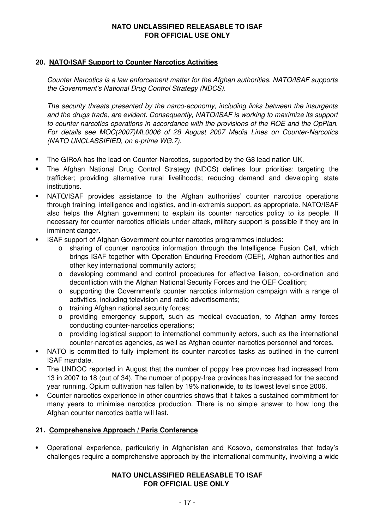### **20. NATO/ISAF Support to Counter Narcotics Activities**

*Counter Narcotics is a law enforcement matter for the Afghan authorities. NATO/ISAF supports the Government's National Drug Control Strategy (NDCS).* 

*The security threats presented by the narco-economy, including links between the insurgents and the drugs trade, are evident. Consequently, NATO/ISAF is working to maximize its support to counter narcotics operations in accordance with the provisions of the ROE and the OpPlan. For details see MOC(2007)ML0006 of 28 August 2007 Media Lines on Counter-Narcotics (NATO UNCLASSIFIED, on e-prime WG.7).*

- The GIRoA has the lead on Counter-Narcotics, supported by the G8 lead nation UK.
- The Afghan National Drug Control Strategy (NDCS) defines four priorities: targeting the trafficker; providing alternative rural livelihoods; reducing demand and developing state institutions.
- NATO/ISAF provides assistance to the Afghan authorities' counter narcotics operations through training, intelligence and logistics, and in-extremis support, as appropriate. NATO/ISAF also helps the Afghan government to explain its counter narcotics policy to its people. If necessary for counter narcotics officials under attack, military support is possible if they are in imminent danger.
- ISAF support of Afghan Government counter narcotics programmes includes:
	- sharing of counter narcotics information through the Intelligence Fusion Cell, which brings ISAF together with Operation Enduring Freedom (OEF), Afghan authorities and other key international community actors;
	- developing command and control procedures for effective liaison, co-ordination and deconfliction with the Afghan National Security Forces and the OEF Coalition;
	- supporting the Government's counter narcotics information campaign with a range of activities, including television and radio advertisements;
	- o training Afghan national security forces:
	- providing emergency support, such as medical evacuation, to Afghan army forces conducting counter-narcotics operations;
	- providing logistical support to international community actors, such as the international counter-narcotics agencies, as well as Afghan counter-narcotics personnel and forces.
- NATO is committed to fully implement its counter narcotics tasks as outlined in the current ISAF mandate.
- The UNDOC reported in August that the number of poppy free provinces had increased from 13 in 2007 to 18 (out of 34). The number of poppy-free provinces has increased for the second year running. Opium cultivation has fallen by 19% nationwide, to its lowest level since 2006.
- Counter narcotics experience in other countries shows that it takes a sustained commitment for many years to minimise narcotics production. There is no simple answer to how long the Afghan counter narcotics battle will last.

### **21. Comprehensive Approach / Paris Conference**

 Operational experience, particularly in Afghanistan and Kosovo, demonstrates that today's challenges require a comprehensive approach by the international community, involving a wide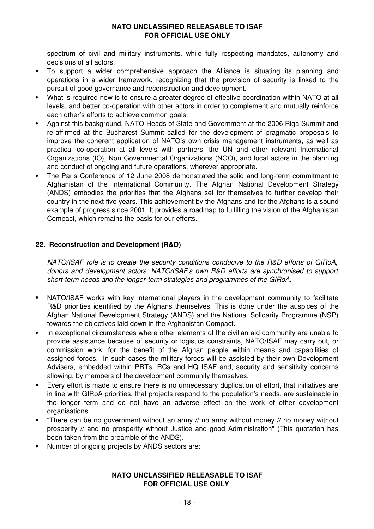spectrum of civil and military instruments, while fully respecting mandates, autonomy and decisions of all actors.

- To support a wider comprehensive approach the Alliance is situating its planning and operations in a wider framework, recognizing that the provision of security is linked to the pursuit of good governance and reconstruction and development.
- What is required now is to ensure a greater degree of effective coordination within NATO at all levels, and better co-operation with other actors in order to complement and mutually reinforce each other's efforts to achieve common goals.
- Against this background, NATO Heads of State and Government at the 2006 Riga Summit and re-affirmed at the Bucharest Summit called for the development of pragmatic proposals to improve the coherent application of NATO's own crisis management instruments, as well as practical co-operation at all levels with partners, the UN and other relevant International Organizations (IO), Non Governmental Organizations (NGO), and local actors in the planning and conduct of ongoing and future operations, wherever appropriate.
- The Paris Conference of 12 June 2008 demonstrated the solid and long-term commitment to Afghanistan of the International Community. The Afghan National Development Strategy (ANDS) embodies the priorities that the Afghans set for themselves to further develop their country in the next five years. This achievement by the Afghans and for the Afghans is a sound example of progress since 2001. It provides a roadmap to fulfilling the vision of the Afghanistan Compact, which remains the basis for our efforts.

### **22. Reconstruction and Development (R&D)**

*NATO/ISAF role is to create the security conditions conducive to the R&D efforts of GIRoA, donors and development actors. NATO/ISAF's own R&D efforts are synchronised to support short-term needs and the longer-term strategies and programmes of the GIRoA.*

- NATO/ISAF works with key international players in the development community to facilitate R&D priorities identified by the Afghans themselves. This is done under the auspices of the Afghan National Development Strategy (ANDS) and the National Solidarity Programme (NSP) towards the objectives laid down in the Afghanistan Compact.
- In exceptional circumstances where other elements of the civilian aid community are unable to provide assistance because of security or logistics constraints, NATO/ISAF may carry out, or commission work, for the benefit of the Afghan people within means and capabilities of assigned forces. In such cases the military forces will be assisted by their own Development Advisers, embedded within PRTs, RCs and HQ ISAF and, security and sensitivity concerns allowing, by members of the development community themselves.
- Every effort is made to ensure there is no unnecessary duplication of effort, that initiatives are in line with GIRoA priorities, that projects respond to the population's needs, are sustainable in the longer term and do not have an adverse effect on the work of other development organisations.
- "There can be no government without an army // no army without money // no money without prosperity // and no prosperity without Justice and good Administration" (This quotation has been taken from the preamble of the ANDS).
- Number of ongoing projects by ANDS sectors are: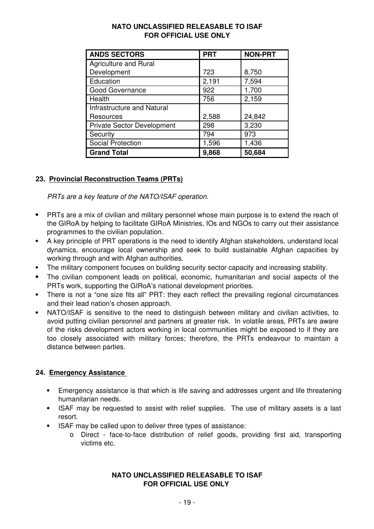| <b>NATO UNCLASSIFIED RELEASABLE TO ISAF</b> |
|---------------------------------------------|
| <b>FOR OFFICIAL USE ONLY</b>                |

| <b>ANDS SECTORS</b>               | <b>PRT</b> | <b>NON-PRT</b> |
|-----------------------------------|------------|----------------|
| <b>Agriculture and Rural</b>      |            |                |
| Development                       | 723        | 8,750          |
| Education                         | 2,191      | 7,594          |
| <b>Good Governance</b>            | 922        | 1,700          |
| Health                            | 756        | 2,159          |
| <b>Infrastructure and Natural</b> |            |                |
| Resources                         | 2,588      | 24,842         |
| <b>Private Sector Development</b> | 298        | 3,230          |
| Security                          | 794        | 973            |
| <b>Social Protection</b>          | 1,596      | 1,436          |
| <b>Grand Total</b>                | 9,868      | 50,684         |

# **23. Provincial Reconstruction Teams (PRTs)**

*PRTs are a key feature of the NATO/ISAF operation.*

- PRTs are a mix of civilian and military personnel whose main purpose is to extend the reach of the GIRoA by helping to facilitate GIRoA Ministries, IOs and NGOs to carry out their assistance programmes to the civilian population.
- A key principle of PRT operations is the need to identify Afghan stakeholders, understand local dynamics, encourage local ownership and seek to build sustainable Afghan capacities by working through and with Afghan authorities.
- The military component focuses on building security sector capacity and increasing stability.
- The civilian component leads on political, economic, humanitarian and social aspects of the PRTs work, supporting the GIRoA's national development priorities.
- There is not a "one size fits all" PRT: they each reflect the prevailing regional circumstances and their lead nation's chosen approach.
- NATO/ISAF is sensitive to the need to distinguish between military and civilian activities, to avoid putting civilian personnel and partners at greater risk. In volatile areas, PRTs are aware of the risks development actors working in local communities might be exposed to if they are too closely associated with military forces; therefore, the PRTs endeavour to maintain a distance between parties.

### **24. Emergency Assistance**

- Emergency assistance is that which is life saving and addresses urgent and life threatening humanitarian needs.
- ISAF may be requested to assist with relief supplies. The use of military assets is a last resort.
- ISAF may be called upon to deliver three types of assistance:
	- Direct face-to-face distribution of relief goods, providing first aid, transporting victims etc.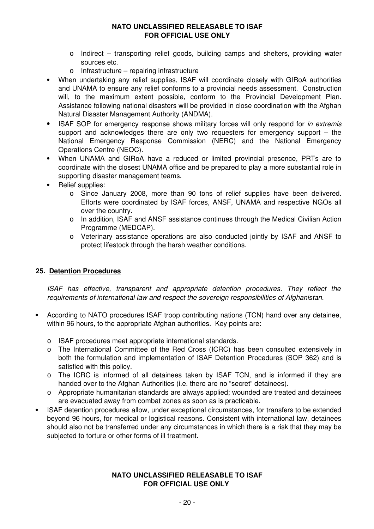- Indirect transporting relief goods, building camps and shelters, providing water sources etc.
- o Infrastructure repairing infrastructure
- When undertaking any relief supplies, ISAF will coordinate closely with GIRoA authorities and UNAMA to ensure any relief conforms to a provincial needs assessment. Construction will, to the maximum extent possible, conform to the Provincial Development Plan. Assistance following national disasters will be provided in close coordination with the Afghan Natural Disaster Management Authority (ANDMA).
- ISAF SOP for emergency response shows military forces will only respond for *in extremis*  support and acknowledges there are only two requesters for emergency support – the National Emergency Response Commission (NERC) and the National Emergency Operations Centre (NEOC).
- When UNAMA and GIRoA have a reduced or limited provincial presence, PRTs are to coordinate with the closest UNAMA office and be prepared to play a more substantial role in supporting disaster management teams.
- Relief supplies:
	- Since January 2008, more than 90 tons of relief supplies have been delivered. Efforts were coordinated by ISAF forces, ANSF, UNAMA and respective NGOs all over the country.
	- In addition, ISAF and ANSF assistance continues through the Medical Civilian Action Programme (MEDCAP).
	- Veterinary assistance operations are also conducted jointly by ISAF and ANSF to protect lifestock through the harsh weather conditions.

#### **25. Detention Procedures**

*ISAF has effective, transparent and appropriate detention procedures. They reflect the requirements of international law and respect the sovereign responsibilities of Afghanistan.*

- According to NATO procedures ISAF troop contributing nations (TCN) hand over any detainee, within 96 hours, to the appropriate Afghan authorities. Key points are:
	- ISAF procedures meet appropriate international standards.
	- The International Committee of the Red Cross (ICRC) has been consulted extensively in both the formulation and implementation of ISAF Detention Procedures (SOP 362) and is satisfied with this policy.
	- The ICRC is informed of all detainees taken by ISAF TCN, and is informed if they are handed over to the Afghan Authorities (i.e. there are no "secret" detainees).
	- Appropriate humanitarian standards are always applied; wounded are treated and detainees are evacuated away from combat zones as soon as is practicable.
- ISAF detention procedures allow, under exceptional circumstances, for transfers to be extended beyond 96 hours, for medical or logistical reasons. Consistent with international law, detainees should also not be transferred under any circumstances in which there is a risk that they may be subjected to torture or other forms of ill treatment.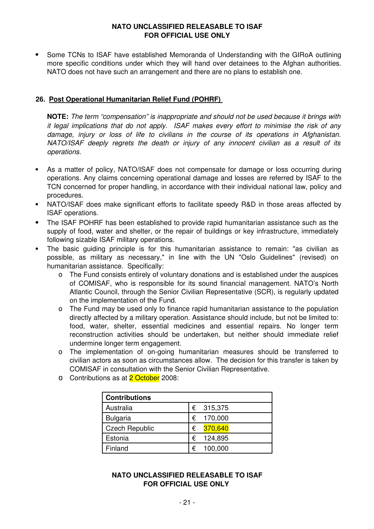Some TCNs to ISAF have established Memoranda of Understanding with the GIRoA outlining more specific conditions under which they will hand over detainees to the Afghan authorities. NATO does not have such an arrangement and there are no plans to establish one.

### **26. Post Operational Humanitarian Relief Fund (POHRF)**

**NOTE:** *The term "compensation" is inappropriate and should not be used because it brings with it legal implications that do not apply. ISAF makes every effort to minimise the risk of any damage, injury or loss of life to civilians in the course of its operations in Afghanistan. NATO/ISAF deeply regrets the death or injury of any innocent civilian as a result of its operations.*

- As a matter of policy, NATO/ISAF does not compensate for damage or loss occurring during operations. Any claims concerning operational damage and losses are referred by ISAF to the TCN concerned for proper handling, in accordance with their individual national law, policy and procedures.
- NATO/ISAF does make significant efforts to facilitate speedy R&D in those areas affected by ISAF operations.
- The ISAF POHRF has been established to provide rapid humanitarian assistance such as the supply of food, water and shelter, or the repair of buildings or key infrastructure, immediately following sizable ISAF military operations.
- The basic guiding principle is for this humanitarian assistance to remain: "as civilian as possible, as military as necessary," in line with the UN "Oslo Guidelines" (revised) on humanitarian assistance. Specifically:
	- The Fund consists entirely of voluntary donations and is established under the auspices of COMISAF, who is responsible for its sound financial management. NATO's North Atlantic Council, through the Senior Civilian Representative (SCR), is regularly updated on the implementation of the Fund.
	- The Fund may be used only to finance rapid humanitarian assistance to the population directly affected by a military operation. Assistance should include, but not be limited to: food, water, shelter, essential medicines and essential repairs. No longer term reconstruction activities should be undertaken, but neither should immediate relief undermine longer term engagement.
	- The implementation of on-going humanitarian measures should be transferred to civilian actors as soon as circumstances allow. The decision for this transfer is taken by COMISAF in consultation with the Senior Civilian Representative.
	- **O** Contributions as at **2 October** 2008:

| <b>Contributions</b>  |              |
|-----------------------|--------------|
| Australia             | € 315,375    |
| <b>Bulgaria</b>       | 170,000<br>€ |
| <b>Czech Republic</b> | 370,640<br>€ |
| Estonia               | 124,895<br>€ |
| Finland               | 100,000<br>€ |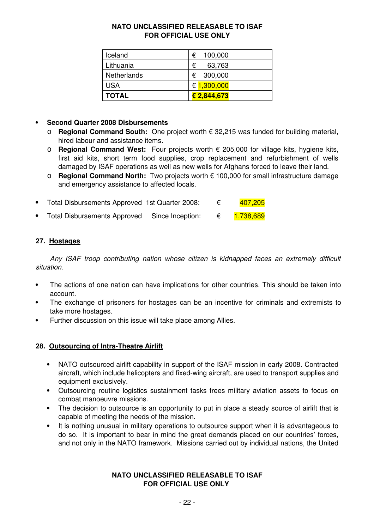| Iceland      | 100,000<br>€ |
|--------------|--------------|
| Lithuania    | €<br>63,763  |
| Netherlands  | € 300,000    |
| <b>USA</b>   | € 1,300,000  |
| <b>TOTAL</b> | € 2,844,673  |

# **Second Quarter 2008 Disbursements**

- **Regional Command South:** One project worth € 32,215 was funded for building material, hired labour and assistance items.
- **Regional Command West:** Four projects worth € 205,000 for village kits, hygiene kits, first aid kits, short term food supplies, crop replacement and refurbishment of wells damaged by ISAF operations as well as new wells for Afghans forced to leave their land.
- **Regional Command North:** Two projects worth € 100,000 for small infrastructure damage and emergency assistance to affected locals.

| Total Disbursements Approved 1st Quarter 2008: |  | 407,205 |
|------------------------------------------------|--|---------|
|                                                |  |         |

• Total Disbursements Approved Since Inception: € 1,738,689

# **27. Hostages**

*Any ISAF troop contributing nation whose citizen is kidnapped faces an extremely difficult situation.*

- The actions of one nation can have implications for other countries. This should be taken into account.
- The exchange of prisoners for hostages can be an incentive for criminals and extremists to take more hostages.
- Further discussion on this issue will take place among Allies.

### **28. Outsourcing of Intra-Theatre Airlift**

- NATO outsourced airlift capability in support of the ISAF mission in early 2008. Contracted aircraft, which include helicopters and fixed-wing aircraft, are used to transport supplies and equipment exclusively.
- Outsourcing routine logistics sustainment tasks frees military aviation assets to focus on combat manoeuvre missions.
- The decision to outsource is an opportunity to put in place a steady source of airlift that is capable of meeting the needs of the mission.
- It is nothing unusual in military operations to outsource support when it is advantageous to do so. It is important to bear in mind the great demands placed on our countries' forces, and not only in the NATO framework. Missions carried out by individual nations, the United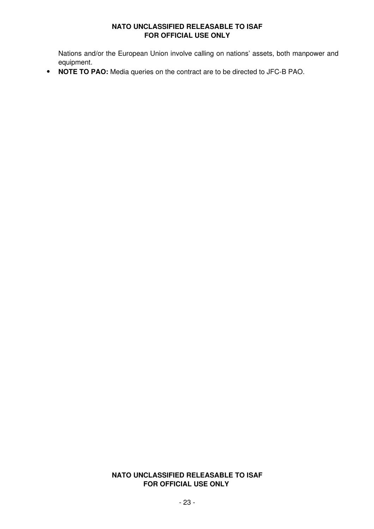Nations and/or the European Union involve calling on nations' assets, both manpower and equipment.

**NOTE TO PAO:** Media queries on the contract are to be directed to JFC-B PAO.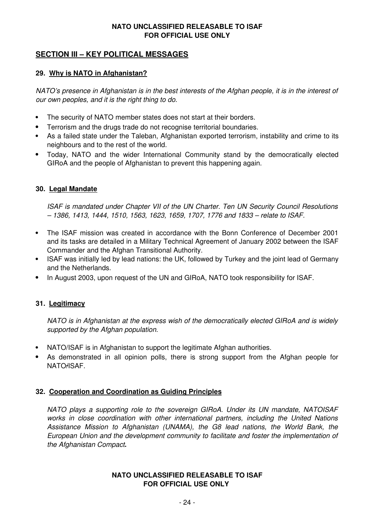# **SECTION III – KEY POLITICAL MESSAGES**

### **29. Why is NATO in Afghanistan?**

*NATO's presence in Afghanistan is in the best interests of the Afghan people, it is in the interest of our own peoples, and it is the right thing to do.*

- The security of NATO member states does not start at their borders.
- Terrorism and the drugs trade do not recognise territorial boundaries.
- As a failed state under the Taleban, Afghanistan exported terrorism, instability and crime to its neighbours and to the rest of the world.
- Today, NATO and the wider International Community stand by the democratically elected GIRoA and the people of Afghanistan to prevent this happening again.

### **30. Legal Mandate**

*ISAF is mandated under Chapter VII of the UN Charter. Ten UN Security Council Resolutions – 1386, 1413, 1444, 1510, 1563, 1623, 1659, 1707, 1776 and 1833 – relate to ISAF.*

- The ISAF mission was created in accordance with the Bonn Conference of December 2001 and its tasks are detailed in a Military Technical Agreement of January 2002 between the ISAF Commander and the Afghan Transitional Authority.
- ISAF was initially led by lead nations: the UK, followed by Turkey and the joint lead of Germany and the Netherlands.
- In August 2003, upon request of the UN and GIRoA, NATO took responsibility for ISAF.

### **31. Legitimacy**

*NATO is in Afghanistan at the express wish of the democratically elected GIRoA and is widely supported by the Afghan population.*

- NATO/ISAF is in Afghanistan to support the legitimate Afghan authorities.
- As demonstrated in all opinion polls, there is strong support from the Afghan people for NATO/ISAF.

#### **32. Cooperation and Coordination as Guiding Principles**

*NATO plays a supporting role to the sovereign GIRoA. Under its UN mandate, NATOISAF works in close coordination with other international partners, including the United Nations Assistance Mission to Afghanistan (UNAMA), the G8 lead nations, the World Bank, the European Union and the development community to facilitate and foster the implementation of the Afghanistan Compact***.**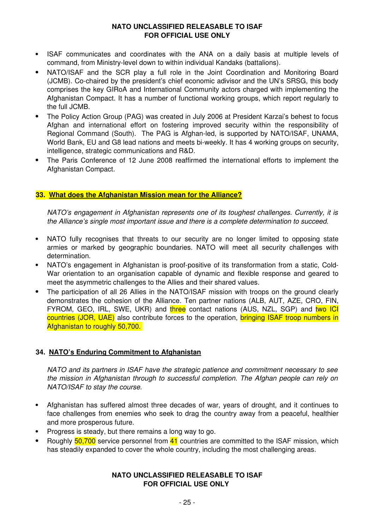- ISAF communicates and coordinates with the ANA on a daily basis at multiple levels of command, from Ministry-level down to within individual Kandaks (battalions).
- NATO/ISAF and the SCR play a full role in the Joint Coordination and Monitoring Board (JCMB). Co-chaired by the president's chief economic adivisor and the UN's SRSG, this body comprises the key GIRoA and International Community actors charged with implementing the Afghanistan Compact. It has a number of functional working groups, which report regularly to the full JCMB.
- The Policy Action Group (PAG) was created in July 2006 at President Karzai's behest to focus Afghan and international effort on fostering improved security within the responsibility of Regional Command (South). The PAG is Afghan-led, is supported by NATO/ISAF, UNAMA, World Bank, EU and G8 lead nations and meets bi-weekly. It has 4 working groups on security, intelligence, strategic communications and R&D.
- The Paris Conference of 12 June 2008 reaffirmed the international efforts to implement the Afghanistan Compact.

#### **33. What does the Afghanistan Mission mean for the Alliance?**

*NATO's engagement in Afghanistan represents one of its toughest challenges. Currently, it is the Alliance's single most important issue and there is a complete determination to succeed.* 

- NATO fully recognises that threats to our security are no longer limited to opposing state armies or marked by geographic boundaries. NATO will meet all security challenges with determination.
- NATO's engagement in Afghanistan is proof-positive of its transformation from a static, Cold-War orientation to an organisation capable of dynamic and flexible response and geared to meet the asymmetric challenges to the Allies and their shared values.
- The participation of all 26 Allies in the NATO/ISAF mission with troops on the ground clearly demonstrates the cohesion of the Alliance. Ten partner nations (ALB, AUT, AZE, CRO, FIN, FYROM, GEO, IRL, SWE, UKR) and three contact nations (AUS, NZL, SGP) and two ICI countries (JOR, UAE) also contribute forces to the operation, bringing ISAF troop numbers in Afghanistan to roughly 50,700.

### **34. NATO's Enduring Commitment to Afghanistan**

*NATO and its partners in ISAF have the strategic patience and commitment necessary to see the mission in Afghanistan through to successful completion. The Afghan people can rely on NATO/ISAF to stay the course.*

- Afghanistan has suffered almost three decades of war, years of drought, and it continues to face challenges from enemies who seek to drag the country away from a peaceful, healthier and more prosperous future.
- Progress is steady, but there remains a long way to go.
- Roughly 50,700 service personnel from 41 countries are committed to the ISAF mission, which has steadily expanded to cover the whole country, including the most challenging areas.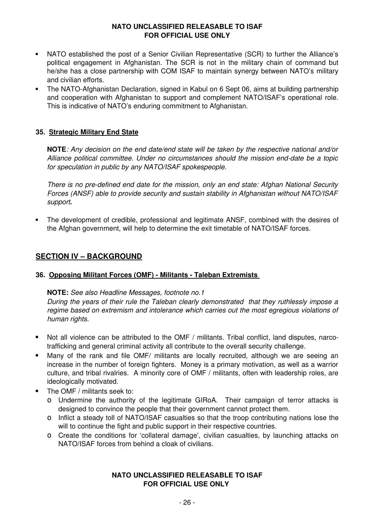- NATO established the post of a Senior Civilian Representative (SCR) to further the Alliance's political engagement in Afghanistan. The SCR is not in the military chain of command but he/she has a close partnership with COM ISAF to maintain synergy between NATO's military and civilian efforts.
- The NATO-Afghanistan Declaration, signed in Kabul on 6 Sept 06, aims at building partnership and cooperation with Afghanistan to support and complement NATO/ISAF's operational role. This is indicative of NATO's enduring commitment to Afghanistan.

### **35. Strategic Military End State**

**NOTE***: Any decision on the end date/end state will be taken by the respective national and/or Alliance political committee. Under no circumstances should the mission end-date be a topic for speculation in public by any NATO/ISAF spokespeople*.

*There is no pre-defined end date for the mission, only an end state: Afghan National Security Forces (ANSF) able to provide security and sustain stability in Afghanistan without NATO/ISAF support***.** 

 The development of credible, professional and legitimate ANSF, combined with the desires of the Afghan government, will help to determine the exit timetable of NATO/ISAF forces.

### **SECTION IV – BACKGROUND**

#### **36. Opposing Militant Forces (OMF) - Militants - Taleban Extremists**

#### **NOTE:** *See also Headline Messages, footnote no.1*

*During the years of their rule the Taleban clearly demonstrated that they ruthlessly impose a regime based on extremism and intolerance which carries out the most egregious violations of human rights.* 

- Not all violence can be attributed to the OMF / militants. Tribal conflict, land disputes, narcotrafficking and general criminal activity all contribute to the overall security challenge.
- Many of the rank and file OMF/ militants are locally recruited, although we are seeing an increase in the number of foreign fighters. Money is a primary motivation, as well as a warrior culture, and tribal rivalries. A minority core of OMF / militants, often with leadership roles, are ideologically motivated.
- The OMF / militants seek to:
	- Undermine the authority of the legitimate GIRoA. Their campaign of terror attacks is designed to convince the people that their government cannot protect them.
	- o Inflict a steady toll of NATO/ISAF casualties so that the troop contributing nations lose the will to continue the fight and public support in their respective countries.
	- Create the conditions for 'collateral damage', civilian casualties, by launching attacks on NATO/ISAF forces from behind a cloak of civilians.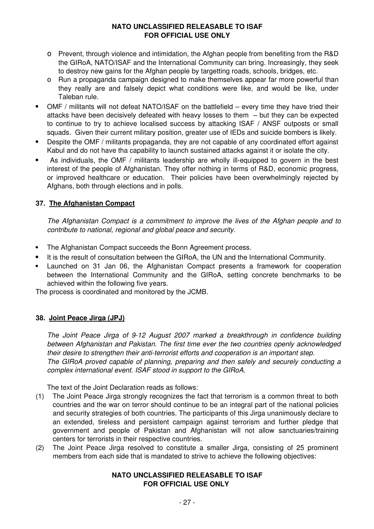- Prevent, through violence and intimidation, the Afghan people from benefiting from the R&D the GIRoA, NATO/ISAF and the International Community can bring. Increasingly, they seek to destroy new gains for the Afghan people by targetting roads, schools, bridges, etc.
- Run a propaganda campaign designed to make themselves appear far more powerful than they really are and falsely depict what conditions were like, and would be like, under Taleban rule.
- OMF / militants will not defeat NATO/ISAF on the battlefield every time they have tried their attacks have been decisively defeated with heavy losses to them – but they can be expected to continue to try to achieve localised success by attacking ISAF / ANSF outposts or small squads. Given their current military position, greater use of IEDs and suicide bombers is likely.
- Despite the OMF / militants propaganda, they are not capable of any coordinated effort against Kabul and do not have tha capability to launch sustained attacks against it or isolate the city.
- As individuals, the OMF / militants leadership are wholly ill-equipped to govern in the best interest of the people of Afghanistan. They offer nothing in terms of R&D, economic progress, or improved healthcare or education. Their policies have been overwhelmingly rejected by Afghans, both through elections and in polls.

# **37. The Afghanistan Compact**

*The Afghanistan Compact is a commitment to improve the lives of the Afghan people and to contribute to national, regional and global peace and security.*

- The Afghanistan Compact succeeds the Bonn Agreement process.
- It is the result of consultation between the GIRoA, the UN and the International Community.
- Launched on 31 Jan 06, the Afghanistan Compact presents a framework for cooperation between the International Community and the GIRoA, setting concrete benchmarks to be achieved within the following five years.

The process is coordinated and monitored by the JCMB.

### **38. Joint Peace Jirga (JPJ)**

*The Joint Peace Jirga of 9-12 August 2007 marked a breakthrough in confidence building between Afghanistan and Pakistan. The first time ever the two countries openly acknowledged their desire to strengthen their anti-terrorist efforts and cooperation is an important step. The GIRoA proved capable of planning, preparing and then safely and securely conducting a complex international event. ISAF stood in support to the GIRoA.* 

The text of the Joint Declaration reads as follows:

- (1) The Joint Peace Jirga strongly recognizes the fact that terrorism is a common threat to both countries and the war on terror should continue to be an integral part of the national policies and security strategies of both countries. The participants of this Jirga unanimously declare to an extended, tireless and persistent campaign against terrorism and further pledge that government and people of Pakistan and Afghanistan will not allow sanctuaries/training centers for terrorists in their respective countries.
- (2) The Joint Peace Jirga resolved to constitute a smaller Jirga, consisting of 25 prominent members from each side that is mandated to strive to achieve the following objectives: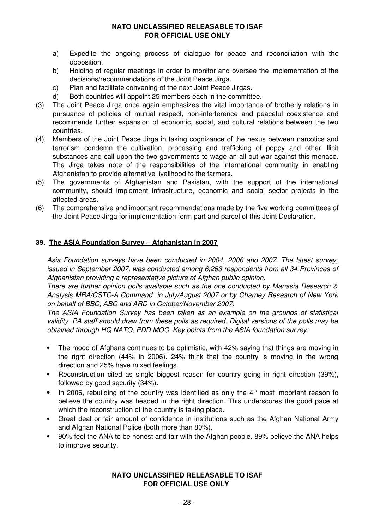- a) Expedite the ongoing process of dialogue for peace and reconciliation with the opposition.
- b) Holding of regular meetings in order to monitor and oversee the implementation of the decisions/recommendations of the Joint Peace Jirga.
- c) Plan and facilitate convening of the next Joint Peace Jirgas.
- d) Both countries will appoint 25 members each in the committee.
- (3) The Joint Peace Jirga once again emphasizes the vital importance of brotherly relations in pursuance of policies of mutual respect, non-interference and peaceful coexistence and recommends further expansion of economic, social, and cultural relations between the two countries.
- (4) Members of the Joint Peace Jirga in taking cognizance of the nexus between narcotics and terrorism condemn the cultivation, processing and trafficking of poppy and other illicit substances and call upon the two governments to wage an all out war against this menace. The Jirga takes note of the responsibilities of the international community in enabling Afghanistan to provide alternative livelihood to the farmers.
- (5) The governments of Afghanistan and Pakistan, with the support of the international community, should implement infrastructure, economic and social sector projects in the affected areas.
- (6) The comprehensive and important recommendations made by the five working committees of the Joint Peace Jirga for implementation form part and parcel of this Joint Declaration.

#### **39. The ASIA Foundation Survey – Afghanistan in 2007**

*Asia Foundation surveys have been conducted in 2004, 2006 and 2007. The latest survey, issued in September 2007, was conducted among 6,263 respondents from all 34 Provinces of Afghanistan providing a representative picture of Afghan public opinion.*

*There are further opinion polls available such as the one conducted by Manasia Research & Analysis MRA/CSTC-A Command in July/August 2007 or by Charney Research of New York on behalf of BBC, ABC and ARD in October/November 2007.* 

*The ASIA Foundation Survey has been taken as an example on the grounds of statistical validity. PA staff should draw from these polls as required. Digital versions of the polls may be obtained through HQ NATO, PDD MOC. Key points from the ASIA foundation survey:*

- The mood of Afghans continues to be optimistic, with 42% saying that things are moving in the right direction (44% in 2006). 24% think that the country is moving in the wrong direction and 25% have mixed feelings.
- Reconstruction cited as single biggest reason for country going in right direction (39%), followed by good security (34%).
- In 2006, rebuilding of the country was identified as only the  $4<sup>th</sup>$  most important reason to believe the country was headed in the right direction. This underscores the good pace at which the reconstruction of the country is taking place.
- Great deal or fair amount of confidence in institutions such as the Afghan National Army and Afghan National Police (both more than 80%).
- 90% feel the ANA to be honest and fair with the Afghan people. 89% believe the ANA helps to improve security.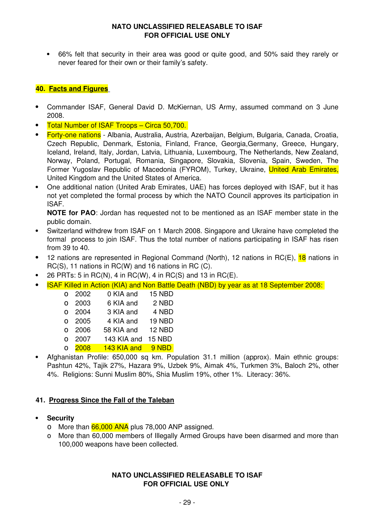66% felt that security in their area was good or quite good, and 50% said they rarely or never feared for their own or their family's safety.

### **40. Facts and Figures**

- Commander ISAF, General David D. McKiernan, US Army, assumed command on 3 June 2008.
- Total Number of ISAF Troops Circa 50,700.
- Forty-one nations Albania, Australia, Austria, Azerbaijan, Belgium, Bulgaria, Canada, Croatia, Czech Republic, Denmark, Estonia, Finland, France, Georgia,Germany, Greece, Hungary, Iceland, Ireland, Italy, Jordan, Latvia, Lithuania, Luxembourg, The Netherlands, New Zealand, Norway, Poland, Portugal, Romania, Singapore, Slovakia, Slovenia, Spain, Sweden, The Former Yugoslav Republic of Macedonia (FYROM), Turkey, Ukraine, United Arab Emirates, United Kingdom and the United States of America.
- One additional nation (United Arab Emirates, UAE) has forces deployed with ISAF, but it has not yet completed the formal process by which the NATO Council approves its participation in ISAF.

**NOTE for PAO**: Jordan has requested not to be mentioned as an ISAF member state in the public domain.

- Switzerland withdrew from ISAF on 1 March 2008. Singapore and Ukraine have completed the formal process to join ISAF. Thus the total number of nations participating in ISAF has risen from 39 to 40.
- 12 nations are represented in Regional Command (North), 12 nations in RC(E), 18 nations in RC(S), 11 nations in RC(W) and 16 nations in RC (C).
- $\bullet$  26 PRTs: 5 in RC(N), 4 in RC(W), 4 in RC(S) and 13 in RC(E).
- ISAF Killed in Action (KIA) and Non Battle Death (NBD) by year as at 18 September 2008:

| O        | 2002 | 0 KIA and   | 15 NBD |
|----------|------|-------------|--------|
| $\Omega$ | 2003 | 6 KIA and   | 2 NBD  |
| $\Omega$ | 2004 | 3 KIA and   | 4 NBD  |
| $\Omega$ | 2005 | 4 KIA and   | 19 NBD |
| $\Omega$ | 2006 | 58 KIA and  | 12 NBD |
| $\Omega$ | 2007 | 143 KIA and | 15 NBD |
| $\Omega$ | 2008 | 143 KIA and | 9 NBD  |
|          |      |             |        |

 Afghanistan Profile: 650,000 sq km. Population 31.1 million (approx). Main ethnic groups: Pashtun 42%, Tajik 27%, Hazara 9%, Uzbek 9%, Aimak 4%, Turkmen 3%, Baloch 2%, other 4%. Religions: Sunni Muslim 80%, Shia Muslim 19%, other 1%. Literacy: 36%.

### **41. Progress Since the Fall of the Taleban**

#### **Security**

- 0 More than 66,000 ANA plus 78,000 ANP assigned.
- More than 60,000 members of Illegally Armed Groups have been disarmed and more than 100,000 weapons have been collected.